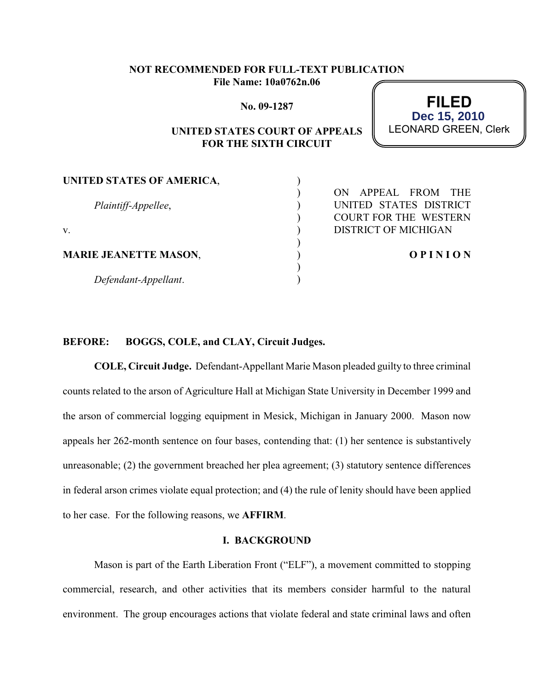# **NOT RECOMMENDED FOR FULL-TEXT PUBLICATION File Name: 10a0762n.06**

**No. 09-1287**

# **UNITED STATES COURT OF APPEALS FOR THE SIXTH CIRCUIT**

) )  $\mathcal{L}$ ) ) ) ) )  $\lambda$ 

**FILED** LEONARD GREEN, Clerk **Dec 15, 2010**

**UNITED STATES OF AMERICA**,

*Plaintiff-Appellee*,

v.

**MARIE JEANETTE MASON**,

*Defendant-Appellant*.

ON APPEAL FROM THE UNITED STATES DISTRICT COURT FOR THE WESTERN DISTRICT OF MICHIGAN

**O P I N I O N**

## **BEFORE: BOGGS, COLE, and CLAY, Circuit Judges.**

**COLE, Circuit Judge.** Defendant-Appellant Marie Mason pleaded guilty to three criminal counts related to the arson of Agriculture Hall at Michigan State University in December 1999 and the arson of commercial logging equipment in Mesick, Michigan in January 2000. Mason now appeals her 262-month sentence on four bases, contending that: (1) her sentence is substantively unreasonable; (2) the government breached her plea agreement; (3) statutory sentence differences in federal arson crimes violate equal protection; and (4) the rule of lenity should have been applied to her case. For the following reasons, we **AFFIRM**.

#### **I. BACKGROUND**

Mason is part of the Earth Liberation Front ("ELF"), a movement committed to stopping commercial, research, and other activities that its members consider harmful to the natural environment. The group encourages actions that violate federal and state criminal laws and often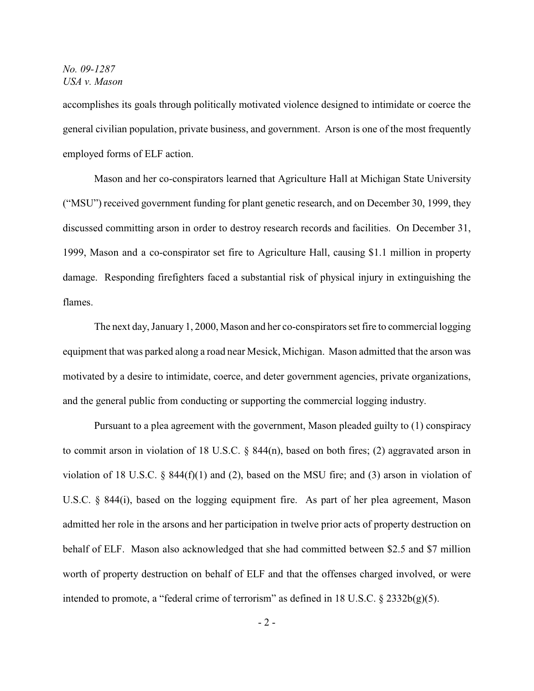accomplishes its goals through politically motivated violence designed to intimidate or coerce the general civilian population, private business, and government. Arson is one of the most frequently employed forms of ELF action.

Mason and her co-conspirators learned that Agriculture Hall at Michigan State University ("MSU") received government funding for plant genetic research, and on December 30, 1999, they discussed committing arson in order to destroy research records and facilities. On December 31, 1999, Mason and a co-conspirator set fire to Agriculture Hall, causing \$1.1 million in property damage. Responding firefighters faced a substantial risk of physical injury in extinguishing the flames.

The next day, January 1, 2000, Mason and her co-conspirators set fire to commercial logging equipment that was parked along a road near Mesick, Michigan. Mason admitted that the arson was motivated by a desire to intimidate, coerce, and deter government agencies, private organizations, and the general public from conducting or supporting the commercial logging industry.

Pursuant to a plea agreement with the government, Mason pleaded guilty to (1) conspiracy to commit arson in violation of 18 U.S.C. § 844(n), based on both fires; (2) aggravated arson in violation of 18 U.S.C. § 844(f)(1) and (2), based on the MSU fire; and (3) arson in violation of U.S.C. § 844(i), based on the logging equipment fire. As part of her plea agreement, Mason admitted her role in the arsons and her participation in twelve prior acts of property destruction on behalf of ELF. Mason also acknowledged that she had committed between \$2.5 and \$7 million worth of property destruction on behalf of ELF and that the offenses charged involved, or were intended to promote, a "federal crime of terrorism" as defined in 18 U.S.C.  $\S$  2332b(g)(5).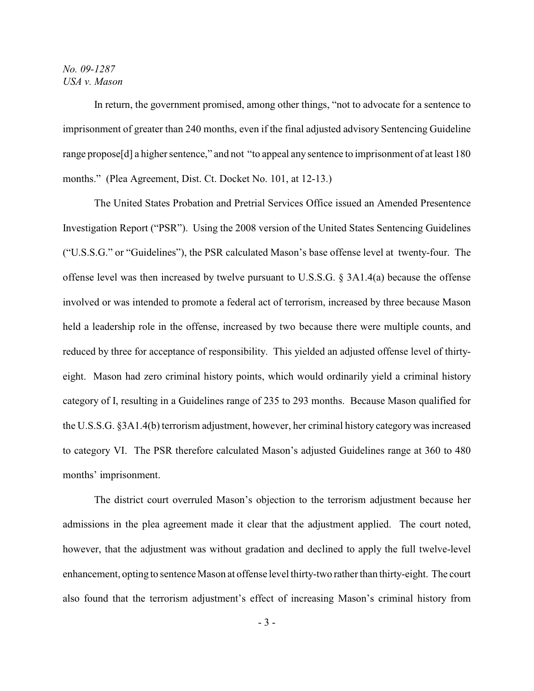In return, the government promised, among other things, "not to advocate for a sentence to imprisonment of greater than 240 months, even if the final adjusted advisory Sentencing Guideline range propose[d] a higher sentence," and not "to appeal any sentence to imprisonment of at least 180 months." (Plea Agreement, Dist. Ct. Docket No. 101, at 12-13.)

The United States Probation and Pretrial Services Office issued an Amended Presentence Investigation Report ("PSR"). Using the 2008 version of the United States Sentencing Guidelines ("U.S.S.G." or "Guidelines"), the PSR calculated Mason's base offense level at twenty-four. The offense level was then increased by twelve pursuant to U.S.S.G. § 3A1.4(a) because the offense involved or was intended to promote a federal act of terrorism, increased by three because Mason held a leadership role in the offense, increased by two because there were multiple counts, and reduced by three for acceptance of responsibility. This yielded an adjusted offense level of thirtyeight. Mason had zero criminal history points, which would ordinarily yield a criminal history category of I, resulting in a Guidelines range of 235 to 293 months. Because Mason qualified for the U.S.S.G. §3A1.4(b) terrorism adjustment, however, her criminal history category was increased to category VI. The PSR therefore calculated Mason's adjusted Guidelines range at 360 to 480 months' imprisonment.

The district court overruled Mason's objection to the terrorism adjustment because her admissions in the plea agreement made it clear that the adjustment applied. The court noted, however, that the adjustment was without gradation and declined to apply the full twelve-level enhancement, opting to sentence Mason at offense level thirty-two rather than thirty-eight. The court also found that the terrorism adjustment's effect of increasing Mason's criminal history from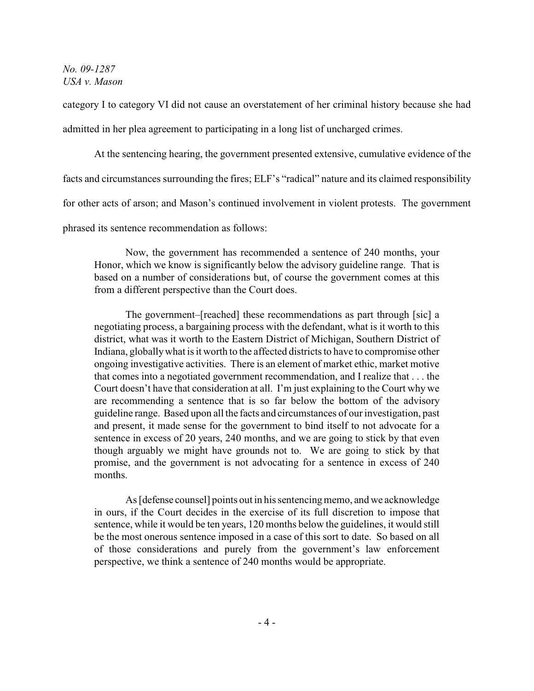category I to category VI did not cause an overstatement of her criminal history because she had admitted in her plea agreement to participating in a long list of uncharged crimes.

At the sentencing hearing, the government presented extensive, cumulative evidence of the facts and circumstances surrounding the fires; ELF's "radical" nature and its claimed responsibility for other acts of arson; and Mason's continued involvement in violent protests. The government phrased its sentence recommendation as follows:

Now, the government has recommended a sentence of 240 months, your Honor, which we know is significantly below the advisory guideline range. That is based on a number of considerations but, of course the government comes at this from a different perspective than the Court does.

The government–[reached] these recommendations as part through [sic] a negotiating process, a bargaining process with the defendant, what is it worth to this district, what was it worth to the Eastern District of Michigan, Southern District of Indiana, globally what is it worth to the affected districts to have to compromise other ongoing investigative activities. There is an element of market ethic, market motive that comes into a negotiated government recommendation, and I realize that . . . the Court doesn't have that consideration at all. I'm just explaining to the Court why we are recommending a sentence that is so far below the bottom of the advisory guideline range. Based upon all the facts and circumstances of our investigation, past and present, it made sense for the government to bind itself to not advocate for a sentence in excess of 20 years, 240 months, and we are going to stick by that even though arguably we might have grounds not to. We are going to stick by that promise, and the government is not advocating for a sentence in excess of 240 months.

As [defense counsel] points out in his sentencing memo, and we acknowledge in ours, if the Court decides in the exercise of its full discretion to impose that sentence, while it would be ten years, 120 months below the guidelines, it would still be the most onerous sentence imposed in a case of this sort to date. So based on all of those considerations and purely from the government's law enforcement perspective, we think a sentence of 240 months would be appropriate.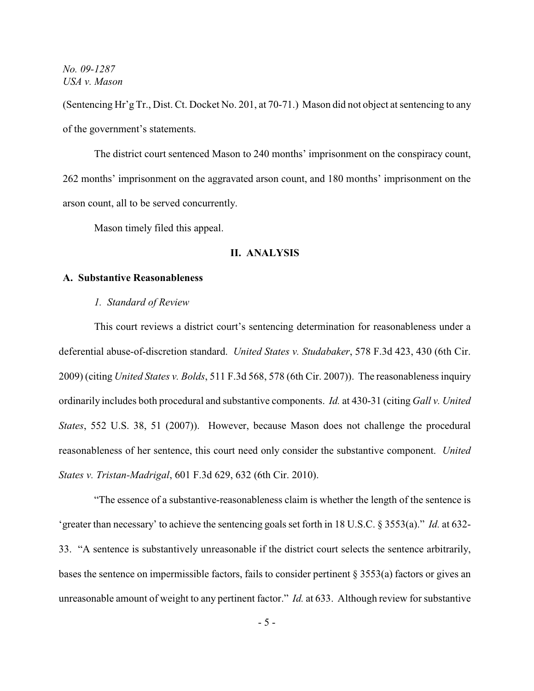(Sentencing Hr'g Tr., Dist. Ct. Docket No. 201, at 70-71.) Mason did not object at sentencing to any of the government's statements.

The district court sentenced Mason to 240 months' imprisonment on the conspiracy count, 262 months' imprisonment on the aggravated arson count, and 180 months' imprisonment on the arson count, all to be served concurrently.

Mason timely filed this appeal.

#### **II. ANALYSIS**

#### **A. Substantive Reasonableness**

*1. Standard of Review*

This court reviews a district court's sentencing determination for reasonableness under a deferential abuse-of-discretion standard. *United States v. Studabaker*, 578 F.3d 423, 430 (6th Cir. 2009) (citing *United States v. Bolds*, 511 F.3d 568, 578 (6th Cir. 2007)). The reasonableness inquiry ordinarily includes both procedural and substantive components. *Id.* at 430-31 (citing *Gall v. United States*, 552 U.S. 38, 51 (2007)). However, because Mason does not challenge the procedural reasonableness of her sentence, this court need only consider the substantive component. *United States v. Tristan-Madrigal*, 601 F.3d 629, 632 (6th Cir. 2010).

"The essence of a substantive-reasonableness claim is whether the length of the sentence is 'greater than necessary' to achieve the sentencing goals set forth in 18 U.S.C. § 3553(a)." *Id.* at 632- 33. "A sentence is substantively unreasonable if the district court selects the sentence arbitrarily, bases the sentence on impermissible factors, fails to consider pertinent § 3553(a) factors or gives an unreasonable amount of weight to any pertinent factor." *Id.* at 633. Although review for substantive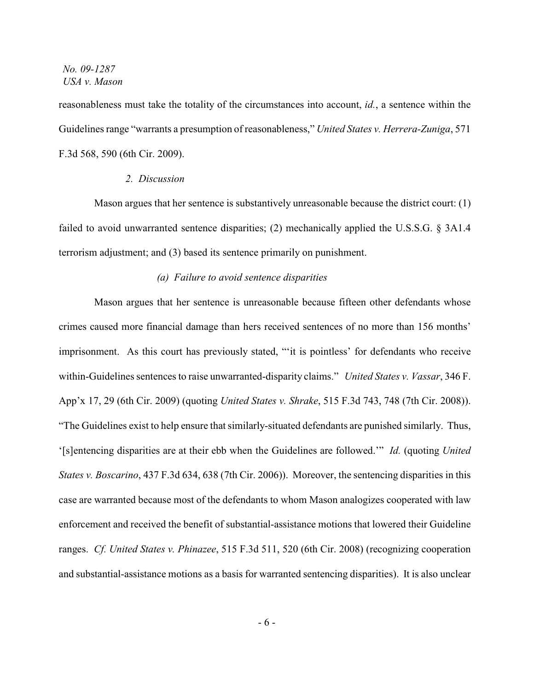reasonableness must take the totality of the circumstances into account, *id.*, a sentence within the Guidelines range "warrants a presumption of reasonableness," *United States v. Herrera-Zuniga*, 571 F.3d 568, 590 (6th Cir. 2009).

#### *2. Discussion*

Mason argues that her sentence is substantively unreasonable because the district court: (1) failed to avoid unwarranted sentence disparities; (2) mechanically applied the U.S.S.G. § 3A1.4 terrorism adjustment; and (3) based its sentence primarily on punishment.

#### *(a) Failure to avoid sentence disparities*

Mason argues that her sentence is unreasonable because fifteen other defendants whose crimes caused more financial damage than hers received sentences of no more than 156 months' imprisonment. As this court has previously stated, "'it is pointless' for defendants who receive within-Guidelines sentences to raise unwarranted-disparity claims." *United States v. Vassar*, 346 F. App'x 17, 29 (6th Cir. 2009) (quoting *United States v. Shrake*, 515 F.3d 743, 748 (7th Cir. 2008)). "The Guidelines exist to help ensure that similarly-situated defendants are punished similarly. Thus, '[s]entencing disparities are at their ebb when the Guidelines are followed.'" *Id.* (quoting *United States v. Boscarino*, 437 F.3d 634, 638 (7th Cir. 2006)). Moreover, the sentencing disparities in this case are warranted because most of the defendants to whom Mason analogizes cooperated with law enforcement and received the benefit of substantial-assistance motions that lowered their Guideline ranges. *Cf. United States v. Phinazee*, 515 F.3d 511, 520 (6th Cir. 2008) (recognizing cooperation and substantial-assistance motions as a basis for warranted sentencing disparities). It is also unclear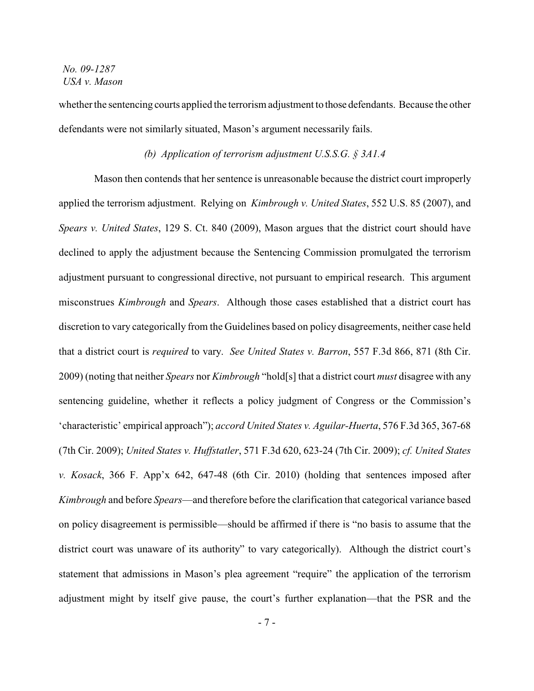whether the sentencing courts applied the terrorism adjustment to those defendants. Because the other defendants were not similarly situated, Mason's argument necessarily fails.

### *(b) Application of terrorism adjustment U.S.S.G. § 3A1.4*

Mason then contends that her sentence is unreasonable because the district court improperly applied the terrorism adjustment. Relying on *Kimbrough v. United States*, 552 U.S. 85 (2007), and *Spears v. United States*, 129 S. Ct. 840 (2009), Mason argues that the district court should have declined to apply the adjustment because the Sentencing Commission promulgated the terrorism adjustment pursuant to congressional directive, not pursuant to empirical research. This argument misconstrues *Kimbrough* and *Spears*. Although those cases established that a district court has discretion to vary categorically from the Guidelines based on policy disagreements, neither case held that a district court is *required* to vary. *See United States v. Barron*, 557 F.3d 866, 871 (8th Cir. 2009) (noting that neither *Spears* nor *Kimbrough* "hold[s] that a district court *must* disagree with any sentencing guideline, whether it reflects a policy judgment of Congress or the Commission's 'characteristic' empirical approach"); *accord United States v. Aguilar-Huerta*, 576 F.3d 365, 367-68 (7th Cir. 2009); *United States v. Huffstatler*, 571 F.3d 620, 623-24 (7th Cir. 2009); *cf. United States v. Kosack*, 366 F. App'x 642, 647-48 (6th Cir. 2010) (holding that sentences imposed after *Kimbrough* and before *Spears*—and therefore before the clarification that categorical variance based on policy disagreement is permissible—should be affirmed if there is "no basis to assume that the district court was unaware of its authority" to vary categorically). Although the district court's statement that admissions in Mason's plea agreement "require" the application of the terrorism adjustment might by itself give pause, the court's further explanation—that the PSR and the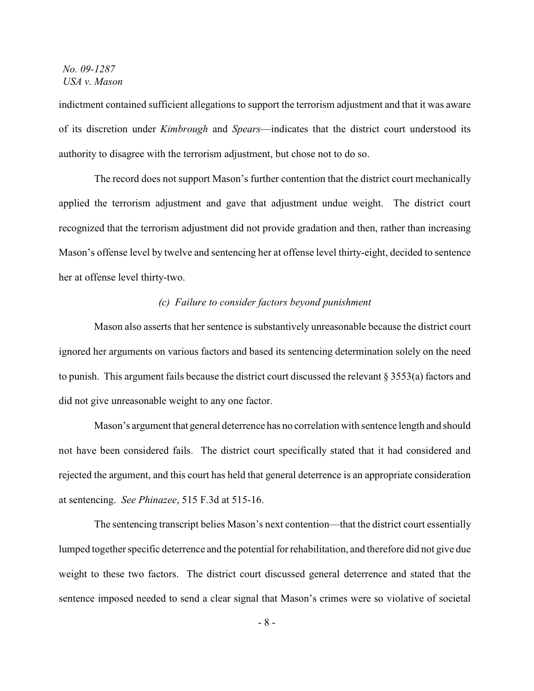indictment contained sufficient allegations to support the terrorism adjustment and that it was aware of its discretion under *Kimbrough* and *Spears*—indicates that the district court understood its authority to disagree with the terrorism adjustment, but chose not to do so.

The record does not support Mason's further contention that the district court mechanically applied the terrorism adjustment and gave that adjustment undue weight. The district court recognized that the terrorism adjustment did not provide gradation and then, rather than increasing Mason's offense level by twelve and sentencing her at offense level thirty-eight, decided to sentence her at offense level thirty-two.

### *(c) Failure to consider factors beyond punishment*

Mason also asserts that her sentence is substantively unreasonable because the district court ignored her arguments on various factors and based its sentencing determination solely on the need to punish. This argument fails because the district court discussed the relevant § 3553(a) factors and did not give unreasonable weight to any one factor.

Mason's argument that general deterrence has no correlation with sentence length and should not have been considered fails. The district court specifically stated that it had considered and rejected the argument, and this court has held that general deterrence is an appropriate consideration at sentencing. *See Phinazee*, 515 F.3d at 515-16.

The sentencing transcript belies Mason's next contention—that the district court essentially lumped together specific deterrence and the potential for rehabilitation, and therefore did not give due weight to these two factors. The district court discussed general deterrence and stated that the sentence imposed needed to send a clear signal that Mason's crimes were so violative of societal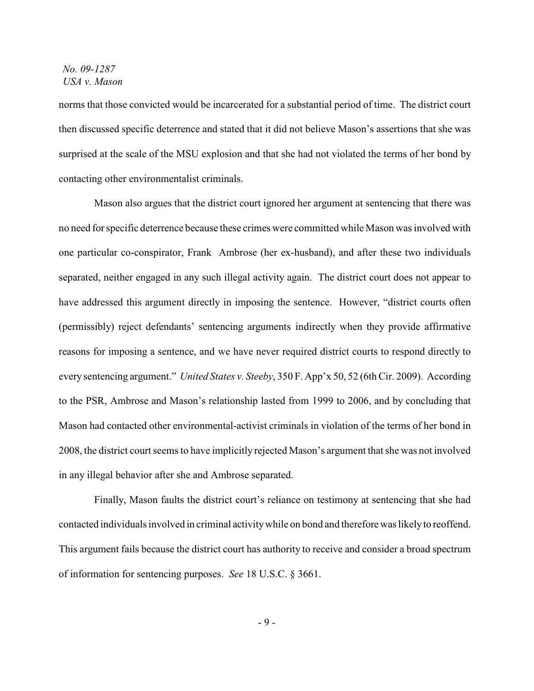norms that those convicted would be incarcerated for a substantial period of time. The district court then discussed specific deterrence and stated that it did not believe Mason's assertions that she was surprised at the scale of the MSU explosion and that she had not violated the terms of her bond by contacting other environmentalist criminals.

Mason also argues that the district court ignored her argument at sentencing that there was no need for specific deterrence because these crimes were committed while Mason was involved with one particular co-conspirator, Frank Ambrose (her ex-husband), and after these two individuals separated, neither engaged in any such illegal activity again. The district court does not appear to have addressed this argument directly in imposing the sentence. However, "district courts often (permissibly) reject defendants' sentencing arguments indirectly when they provide affirmative reasons for imposing a sentence, and we have never required district courts to respond directly to every sentencing argument." *United States v. Steeby*, 350 F. App'x 50, 52 (6th Cir. 2009). According to the PSR, Ambrose and Mason's relationship lasted from 1999 to 2006, and by concluding that Mason had contacted other environmental-activist criminals in violation of the terms of her bond in 2008, the district court seems to have implicitly rejected Mason's argument that she was not involved in any illegal behavior after she and Ambrose separated.

Finally, Mason faults the district court's reliance on testimony at sentencing that she had contacted individuals involved in criminal activity while on bond and therefore was likely to reoffend. This argument fails because the district court has authority to receive and consider a broad spectrum of information for sentencing purposes. *See* 18 U.S.C. § 3661.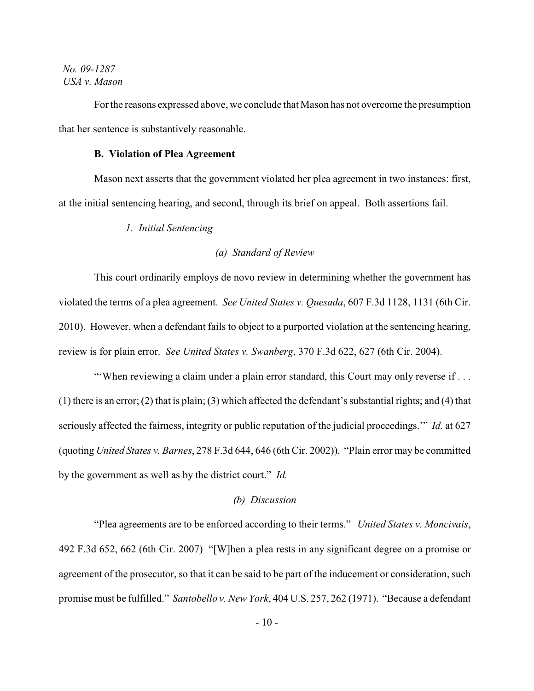For the reasons expressed above, we conclude that Mason has not overcome the presumption that her sentence is substantively reasonable.

### **B. Violation of Plea Agreement**

Mason next asserts that the government violated her plea agreement in two instances: first, at the initial sentencing hearing, and second, through its brief on appeal. Both assertions fail.

*1. Initial Sentencing*

### *(a) Standard of Review*

This court ordinarily employs de novo review in determining whether the government has violated the terms of a plea agreement. *See United States v. Quesada*, 607 F.3d 1128, 1131 (6th Cir. 2010). However, when a defendant fails to object to a purported violation at the sentencing hearing, review is for plain error. *See United States v. Swanberg*, 370 F.3d 622, 627 (6th Cir. 2004).

"When reviewing a claim under a plain error standard, this Court may only reverse if ... (1) there is an error; (2) that is plain; (3) which affected the defendant's substantial rights; and (4) that seriously affected the fairness, integrity or public reputation of the judicial proceedings.'" *Id.* at 627 (quoting *United States v. Barnes*, 278 F.3d 644, 646 (6th Cir. 2002)). "Plain error may be committed by the government as well as by the district court." *Id.*

#### *(b) Discussion*

"Plea agreements are to be enforced according to their terms." *United States v. Moncivais*, 492 F.3d 652, 662 (6th Cir. 2007) "[W]hen a plea rests in any significant degree on a promise or agreement of the prosecutor, so that it can be said to be part of the inducement or consideration, such promise must be fulfilled." *Santobello v. New York*, 404 U.S. 257, 262 (1971). "Because a defendant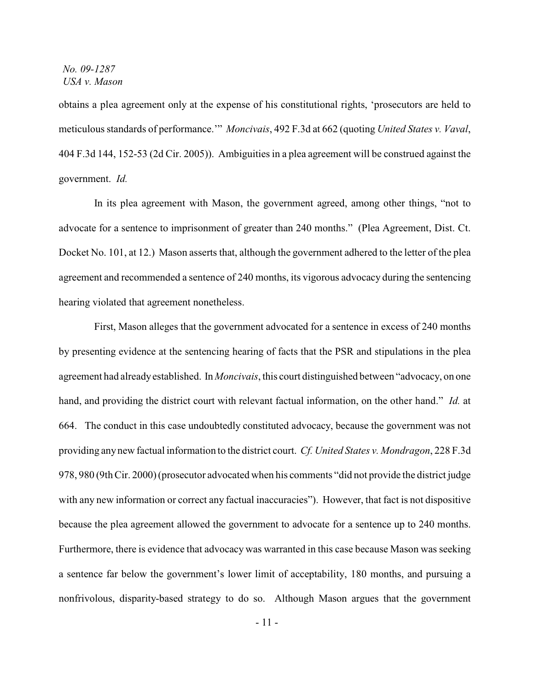obtains a plea agreement only at the expense of his constitutional rights, 'prosecutors are held to meticulous standards of performance.'" *Moncivais*, 492 F.3d at 662 (quoting *United States v. Vaval*, 404 F.3d 144, 152-53 (2d Cir. 2005)). Ambiguities in a plea agreement will be construed against the government. *Id.*

In its plea agreement with Mason, the government agreed, among other things, "not to advocate for a sentence to imprisonment of greater than 240 months." (Plea Agreement, Dist. Ct. Docket No. 101, at 12.) Mason asserts that, although the government adhered to the letter of the plea agreement and recommended a sentence of 240 months, its vigorous advocacy during the sentencing hearing violated that agreement nonetheless.

First, Mason alleges that the government advocated for a sentence in excess of 240 months by presenting evidence at the sentencing hearing of facts that the PSR and stipulations in the plea agreement had already established. In *Moncivais*, this court distinguished between "advocacy, on one hand, and providing the district court with relevant factual information, on the other hand." *Id.* at 664. The conduct in this case undoubtedly constituted advocacy, because the government was not providing any new factual information to the district court. *Cf. United States v. Mondragon*, 228 F.3d 978, 980 (9thCir. 2000) (prosecutor advocated when his comments "did not provide the district judge with any new information or correct any factual inaccuracies"). However, that fact is not dispositive because the plea agreement allowed the government to advocate for a sentence up to 240 months. Furthermore, there is evidence that advocacy was warranted in this case because Mason was seeking a sentence far below the government's lower limit of acceptability, 180 months, and pursuing a nonfrivolous, disparity-based strategy to do so. Although Mason argues that the government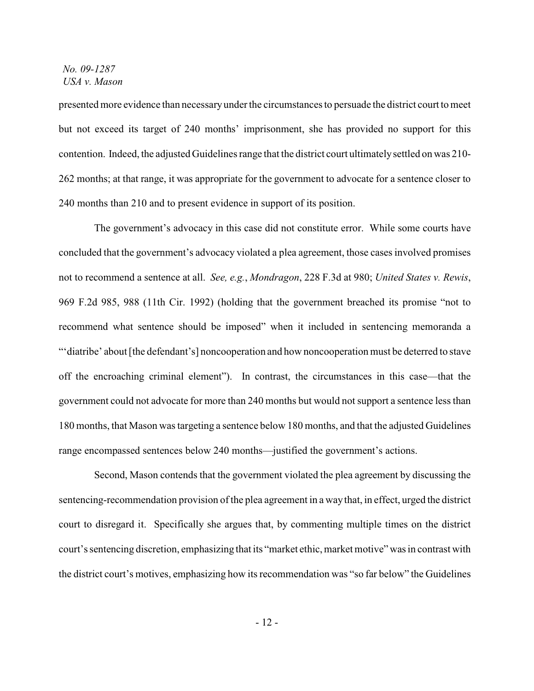presented more evidence than necessary under the circumstances to persuade the district court to meet but not exceed its target of 240 months' imprisonment, she has provided no support for this contention. Indeed, the adjusted Guidelines range that the district court ultimately settled on was 210- 262 months; at that range, it was appropriate for the government to advocate for a sentence closer to 240 months than 210 and to present evidence in support of its position.

The government's advocacy in this case did not constitute error. While some courts have concluded that the government's advocacy violated a plea agreement, those cases involved promises not to recommend a sentence at all. *See, e.g.*, *Mondragon*, 228 F.3d at 980; *United States v. Rewis*, 969 F.2d 985, 988 (11th Cir. 1992) (holding that the government breached its promise "not to recommend what sentence should be imposed" when it included in sentencing memoranda a "'diatribe' about [the defendant's] noncooperation and how noncooperation must be deterred to stave off the encroaching criminal element"). In contrast, the circumstances in this case—that the government could not advocate for more than 240 months but would not support a sentence less than 180 months, that Mason was targeting a sentence below 180 months, and that the adjusted Guidelines range encompassed sentences below 240 months—justified the government's actions.

Second, Mason contends that the government violated the plea agreement by discussing the sentencing-recommendation provision of the plea agreement in a way that, in effect, urged the district court to disregard it. Specifically she argues that, by commenting multiple times on the district court's sentencing discretion, emphasizing that its "market ethic, market motive" was in contrast with the district court's motives, emphasizing how its recommendation was "so far below" the Guidelines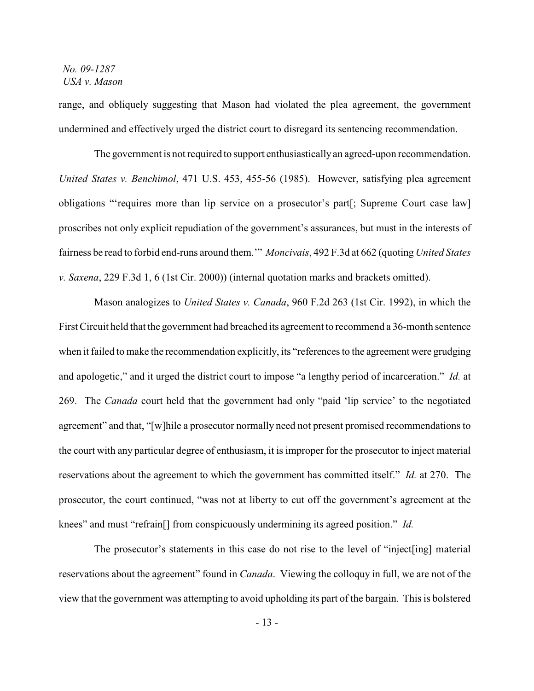range, and obliquely suggesting that Mason had violated the plea agreement, the government undermined and effectively urged the district court to disregard its sentencing recommendation.

The government is not required to support enthusiastically an agreed-upon recommendation. *United States v. Benchimol*, 471 U.S. 453, 455-56 (1985). However, satisfying plea agreement obligations "'requires more than lip service on a prosecutor's part[; Supreme Court case law] proscribes not only explicit repudiation of the government's assurances, but must in the interests of fairness be read to forbid end-runs around them.'" *Moncivais*, 492 F.3d at 662 (quoting *United States v. Saxena*, 229 F.3d 1, 6 (1st Cir. 2000)) (internal quotation marks and brackets omitted).

Mason analogizes to *United States v. Canada*, 960 F.2d 263 (1st Cir. 1992), in which the First Circuit held that the government had breached its agreement to recommend a 36-month sentence when it failed to make the recommendation explicitly, its "references to the agreement were grudging and apologetic," and it urged the district court to impose "a lengthy period of incarceration." *Id.* at 269. The *Canada* court held that the government had only "paid 'lip service' to the negotiated agreement" and that, "[w]hile a prosecutor normally need not present promised recommendations to the court with any particular degree of enthusiasm, it is improper for the prosecutor to inject material reservations about the agreement to which the government has committed itself." *Id.* at 270. The prosecutor, the court continued, "was not at liberty to cut off the government's agreement at the knees" and must "refrain[] from conspicuously undermining its agreed position." *Id.*

The prosecutor's statements in this case do not rise to the level of "inject[ing] material reservations about the agreement" found in *Canada*. Viewing the colloquy in full, we are not of the view that the government was attempting to avoid upholding its part of the bargain. This is bolstered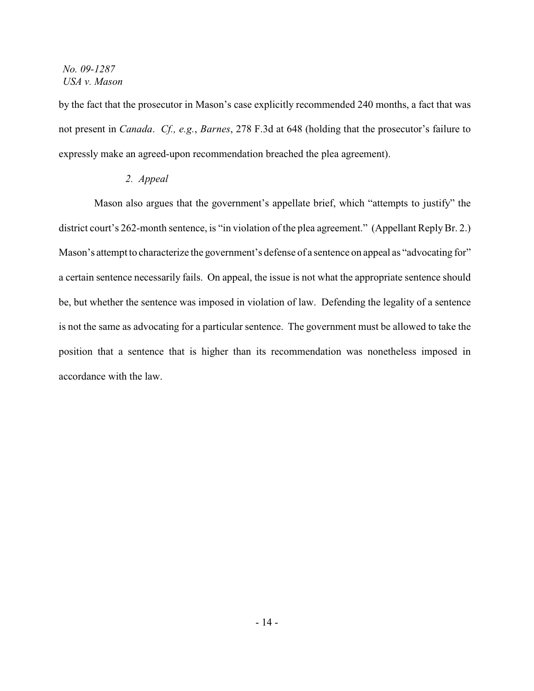by the fact that the prosecutor in Mason's case explicitly recommended 240 months, a fact that was not present in *Canada*. *Cf., e.g.*, *Barnes*, 278 F.3d at 648 (holding that the prosecutor's failure to expressly make an agreed-upon recommendation breached the plea agreement).

## *2. Appeal*

Mason also argues that the government's appellate brief, which "attempts to justify" the district court's 262-month sentence, is "in violation of the plea agreement." (Appellant Reply Br. 2.) Mason's attempt to characterize the government's defense of a sentence on appeal as "advocating for" a certain sentence necessarily fails. On appeal, the issue is not what the appropriate sentence should be, but whether the sentence was imposed in violation of law. Defending the legality of a sentence is not the same as advocating for a particular sentence. The government must be allowed to take the position that a sentence that is higher than its recommendation was nonetheless imposed in accordance with the law.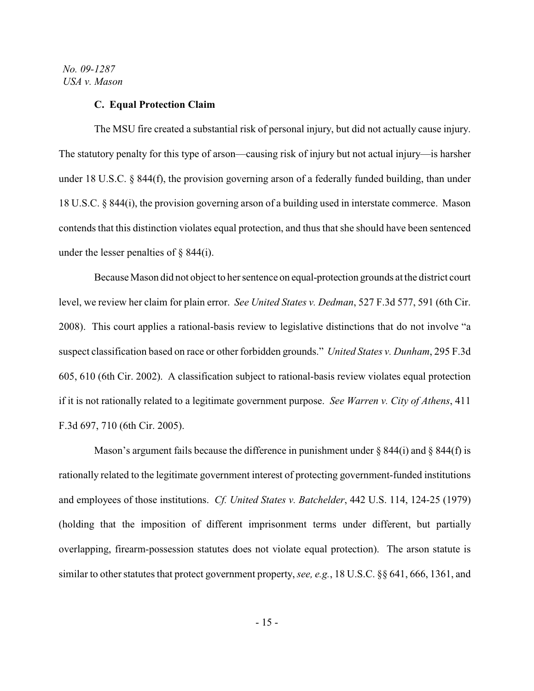#### **C. Equal Protection Claim**

The MSU fire created a substantial risk of personal injury, but did not actually cause injury. The statutory penalty for this type of arson—causing risk of injury but not actual injury—is harsher under 18 U.S.C. § 844(f), the provision governing arson of a federally funded building, than under 18 U.S.C. § 844(i), the provision governing arson of a building used in interstate commerce. Mason contends that this distinction violates equal protection, and thus that she should have been sentenced under the lesser penalties of  $\S$  844(i).

Because Mason did not object to her sentence on equal-protection grounds at the district court level, we review her claim for plain error. *See United States v. Dedman*, 527 F.3d 577, 591 (6th Cir. 2008). This court applies a rational-basis review to legislative distinctions that do not involve "a suspect classification based on race or other forbidden grounds." *United States v. Dunham*, 295 F.3d 605, 610 (6th Cir. 2002). A classification subject to rational-basis review violates equal protection if it is not rationally related to a legitimate government purpose. *See Warren v. City of Athens*, 411 F.3d 697, 710 (6th Cir. 2005).

Mason's argument fails because the difference in punishment under  $\S$  844(i) and  $\S$  844(f) is rationally related to the legitimate government interest of protecting government-funded institutions and employees of those institutions. *Cf. United States v. Batchelder*, 442 U.S. 114, 124-25 (1979) (holding that the imposition of different imprisonment terms under different, but partially overlapping, firearm-possession statutes does not violate equal protection). The arson statute is similar to other statutes that protect government property, *see, e.g.*, 18 U.S.C. §§ 641, 666, 1361, and